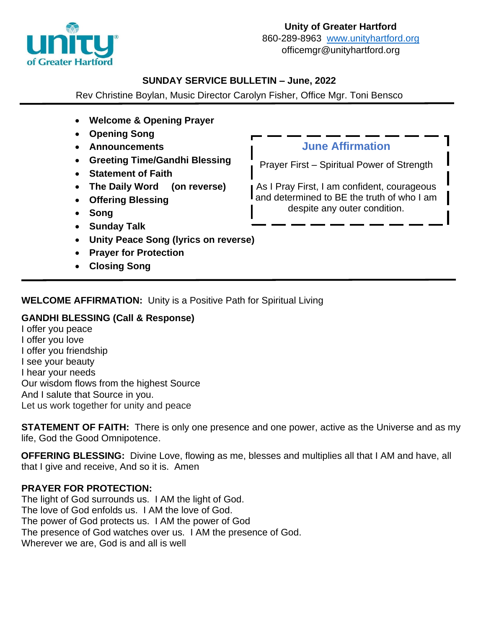

### **SUNDAY SERVICE BULLETIN – June, 2022**

Rev Christine Boylan, Music Director Carolyn Fisher, Office Mgr. Toni Bensco

- **Welcome & Opening Prayer**
- **Opening Song**
- **Announcements**
- **Greeting Time/Gandhi Blessing**
- **Statement of Faith**
- **The Daily Word (on reverse)**
- **Offering Blessing**
- **Song**
- **Sunday Talk**
- **Unity Peace Song (lyrics on reverse)**
- **Prayer for Protection**
- **Closing Song**

## **June Affirmation**

Prayer First – Spiritual Power of Strength

As I Pray First, I am confident, courageous and determined to BE the truth of who I am despite any outer condition.

# **WELCOME AFFIRMATION:** Unity is a Positive Path for Spiritual Living

### **GANDHI BLESSING (Call & Response)**

I offer you peace I offer you love I offer you friendship I see your beauty I hear your needs Our wisdom flows from the highest Source And I salute that Source in you. Let us work together for unity and peace

**STATEMENT OF FAITH:** There is only one presence and one power, active as the Universe and as my life, God the Good Omnipotence.

**OFFERING BLESSING:** Divine Love, flowing as me, blesses and multiplies all that I AM and have, all that I give and receive, And so it is. Amen

## **PRAYER FOR PROTECTION:**

The light of God surrounds us. I AM the light of God. The love of God enfolds us. I AM the love of God. The power of God protects us. I AM the power of God The presence of God watches over us. I AM the presence of God. Wherever we are, God is and all is well